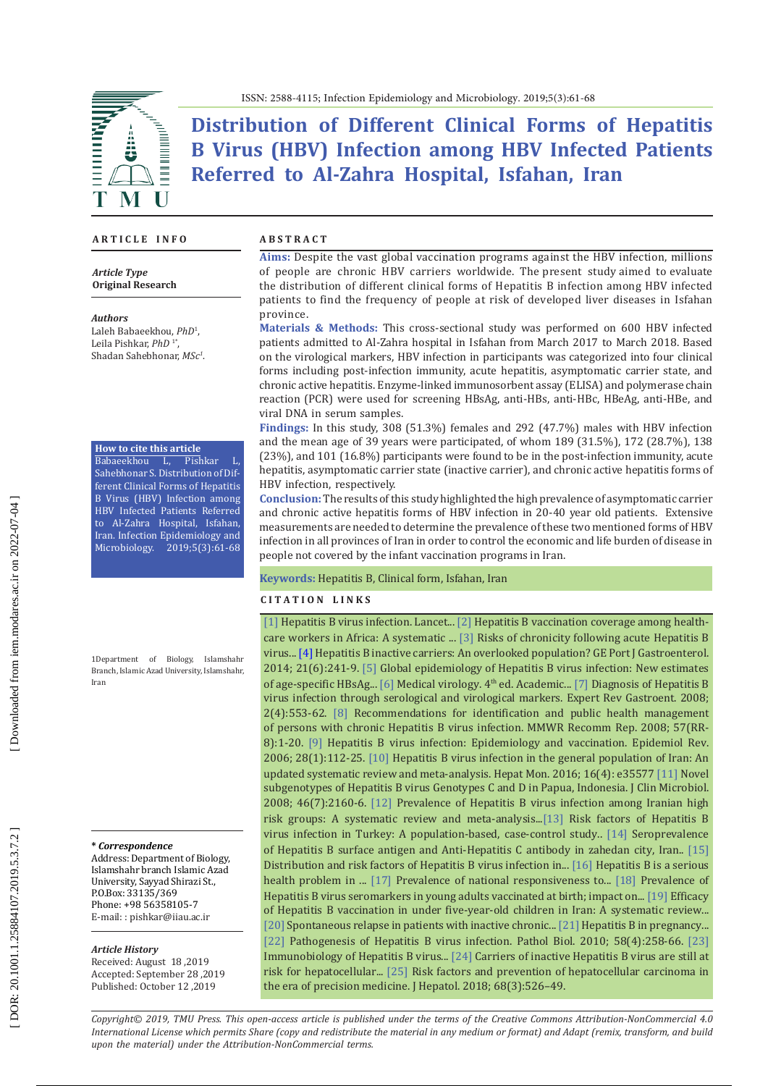

**Distribution of Different Clinical Forms of Hepatitis B Virus (HBV) Infection among HBV Infected Patients Referred to Al-Zahra Hospital, Isfahan, Iran**

#### **A R T I C L E I N F O**

#### *Article Type* **Original Research**

#### *Authors*

Laleh Babaeekhou, *PhD* 1 , Leila Pishkar, *PhD* 1 \* , Shadan Sahebhonar, *MSc 1* .

# **How to cite this article**<br>**Babaeekhou L**, Pishkar

Babaeekhou L, Sahebhonar S. Distribution of Different Clinical Forms of Hepatitis B Virus (HBV) Infection among HBV Infected Patients Referred to Al-Zahra Hospital, Isfahan, Iran. Infection Epidemiology and Microbiology. 2019;5(3):61-68

1Department of Biology, Islamshahr Branch, Islamic Azad University, Islamshahr, Iran

#### **\*** *Correspondence*

Address: Department of Biology, Islamshahr branch Islamic Azad University, Sayyad Shirazi St., P.O.Box: 33135/369 Phone: +98 56358105-7 E-mail: : pishkar@iiau.ac.ir

#### *Article History*

Received: August 18 ,2019 Accepted: September 28 ,2019 Published: October 12 ,2019

#### **A B S T R A C T**

**Aims:** Despite the vast global vaccination programs against the HBV infection, millions of people are chronic HBV carriers worldwide. The present study aimed to evaluate the distribution of different clinical forms of Hepatitis B infection among HBV infected patients to find the frequency of people at risk of developed liver diseases in Isfahan province.

**Materials & Methods:** This cross-sectional study was performed on 600 HBV infected patients admitted to Al-Zahra hospital in Isfahan from March 2017 to March 2018. Based on the virological markers, HBV infection in participants was categorized into four clinical forms including post-infection immunity, acute hepatitis, asymptomatic carrier state, and chronic active hepatitis. Enzyme-linked immunosorbent assay (ELISA) and polymerase chain reaction (PCR) were used for screening HBsAg, anti-HBs, anti-HBc, HBeAg, anti-HBe, and viral DNA in serum samples.

**Findings:** In this study, 308 (51.3%) females and 292 (47.7%) males with HBV infection and the mean age of 39 years were participated, of whom 189 (31.5%), 172 (28.7%), 138 (23%), and 101 (16.8%) participants were found to be in the post-infection immunity, acute hepatitis, asymptomatic carrier state (inactive carrier), and chronic active hepatitis forms of HBV infection, respectively.

**Conclusion:** The results of this study highlighted the high prevalence of asymptomatic carrier and chronic active hepatitis forms of HBV infection in 20-40 year old patients. Extensive measurements are needed to determine the prevalence of these two mentioned forms of HBV infection in all provinces of Iran in order to control the economic and life burden of disease in people not covered by the infant vaccination programs in Iran.

### **Keywords:** Hepatitis B, Clinical form, Isfahan, Iran

### **C I T A T I O N L I N K S**

[\[1\]](https://www.ncbi.nlm.nih.gov/pubmed/24954675) Hepatitis B virus infection. Lancet... [\[2\]](https://www.ncbi.nlm.nih.gov/pubmed/29970299) Hepatitis B vaccination coverage among healthcare workers in Africa: A systematic ... [\[3\]](https://www.ncbi.nlm.nih.gov/pubmed/7795104) Risks of chronicity following acute Hepatitis B virus... [\[4\]](https://www.elsevier.es/en-revista-ge-portuguese-journal-gastroenterology-347-articulo-hepatitis-b-inactive-carriers-an-S2341454514001252) Hepatitis B inactive carriers: An overlooked population? GE Port J Gastroenterol. 2014; 21(6):241-9. [\[5\]](https://www.ncbi.nlm.nih.gov/pubmed/22273662) Global epidemiology of Hepatitis B virus infection: New estimates of age-specific HBsAg... [\[6\]](https://www.elsevier.com/books/medical-virology/white/978-0-08-092656-8) Medical virology. 4<sup>th</sup> ed. Academic... [\[7\]](https://www.ncbi.nlm.nih.gov/pubmed/19072403) Diagnosis of Hepatitis B virus infection through serological and virological markers. Expert Rev Gastroent. 2008; 2(4):553-62. [\[8\]](https://www.ncbi.nlm.nih.gov/pubmed/18802412) Recommendations for identification and public health management of persons with chronic Hepatitis B virus infection. MMWR Recomm Rep. 2008; 57(RR-8):1-20. [\[9\]](https://www.ncbi.nlm.nih.gov/pubmed/16754644) Hepatitis B virus infection: Epidemiology and vaccination. Epidemiol Rev. 2006; 28(1):112-25. [\[10\]](https://www.ncbi.nlm.nih.gov/pubmed/27257428) Hepatitis B virus infection in the general population of Iran: An updated systematic review and meta-analysis. Hepat Mon. 2016; 16(4): e35577 [\[11\]](https://www.ncbi.nlm.nih.gov/pmc/articles/PMC2446895/) Novel subgenotypes of Hepatitis B virus Genotypes C and D in Papua, Indonesia. J Clin Microbiol. 2008; 46(7):2160-6. [\[12\]](https://www.ncbi.nlm.nih.gov/pubmed/29910849) Prevalence of Hepatitis B virus infection among Iranian high risk groups: A systematic review and meta-analysis..[.\[13\]](https://www.ncbi.nlm.nih.gov/pubmed/22087152) Risk factors of Hepatitis B virus infection in Turkey: A population-based, case-control study.. [\[14\]](https://www.ncbi.nlm.nih.gov/pmc/articles/PMC3475139/) Seroprevalence of Hepatitis B surface antigen and Anti-Hepatitis C antibody in zahedan city, Iran.. [\[15\]](https://www.ncbi.nlm.nih.gov/pmc/articles/PMC3321318/) Distribution and risk factors of Hepatitis B virus infection in... [\[16\]](https://www.researchgate.net/publication/283816008_Hepatitis_B_is_a_Serious_Health_Problem_in_Some_Parts_of_Iran_Sistan_and_Baluchestan_Province) Hepatitis B is a serious health problem in ... [\[17\]](https://www.ncbi.nlm.nih.gov/pubmed/26045701) Prevalence of national responsiveness to... [\[18\]](http://hepatmon.com/en/articles/15386.html) Prevalence of Hepatitis B virus seromarkers in young adults vaccinated at birth; impact on... [\[19\]](http://hepatmon.com/en/articles/65385.html) Efficacy of Hepatitis B vaccination in under five-year-old children in Iran: A systematic review... [\[20\]](https://www.ncbi.nlm.nih.gov/pmc/articles/PMC6230452/) Spontaneous relapse in patients with inactive chronic... [\[21\]](https://www.ncbi.nlm.nih.gov/pubmed/17981236) Hepatitis B in pregnancy... [\[22\]](https://www.ncbi.nlm.nih.gov/pubmed/20116937) Pathogenesis of Hepatitis B virus infection. Pathol Biol. 2010; 58(4):258-66. [\[23\]](https://www.ncbi.nlm.nih.gov/pubmed/25331910)  Immunobiology of Hepatitis B virus... [\[24\]](https://www.ncbi.nlm.nih.gov/pubmed/20114048) Carriers of inactive Hepatitis B virus are still at risk for hepatocellular... [\[25\]](https://www.ncbi.nlm.nih.gov/pubmed/28989095) Risk factors and prevention of hepatocellular carcinoma in the era of precision medicine. J Hepatol. 2018; 68(3):526–49.

*Copyright© 2019, TMU Press. This open-access article is published under the terms of the Creative Commons Attribution-NonCommercial 4.0 International License which permits Share (copy and redistribute the material in any medium or format) and Adapt (remix, transform, and build upon the material) under the Attribution-NonCommercial terms.*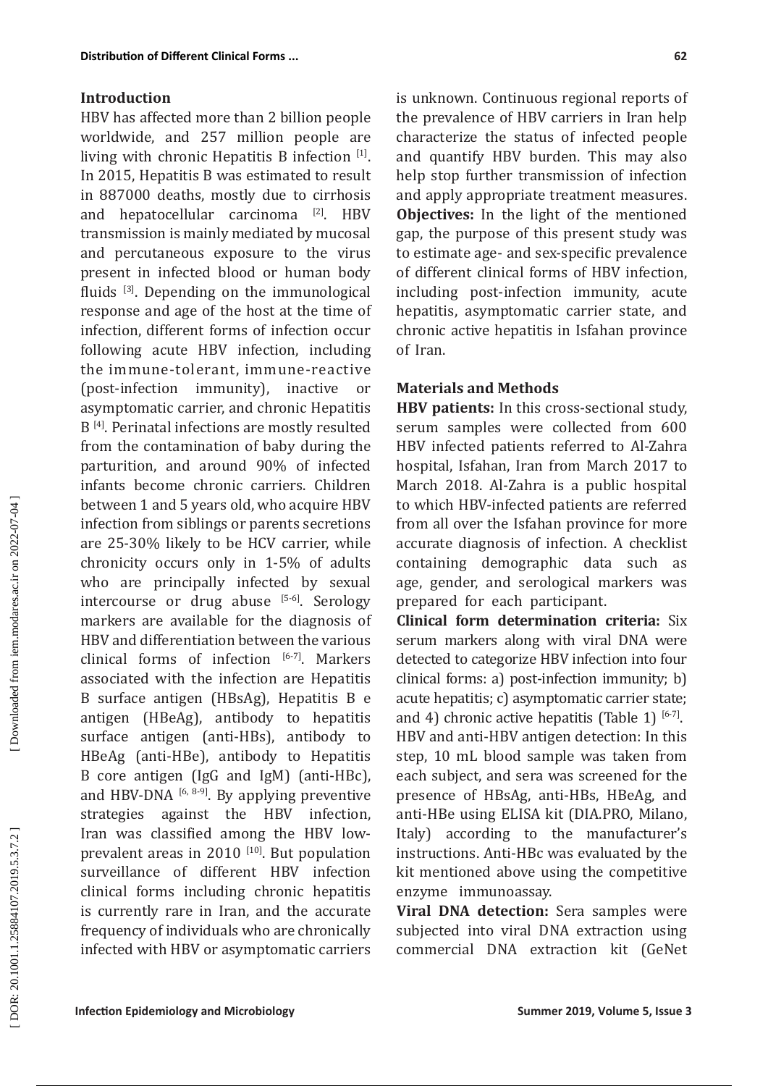# **Introduction**

HBV has affected more than 2 billion people worldwide, and 257 million people are living with chronic Hepatitis B infection [1]. In 2015, Hepatitis B was estimated to result in 887000 deaths, mostly due to cirrhosis and hepatocellular carcinoma [2]. HBV transmission is mainly mediated by mucosal and percutaneous exposure to the virus present in infected blood or human body fluids [3]. Depending on the immunological response and age of the host at the time of infection, different forms of infection occur following acute HBV infection, including the immune-tolerant, immune-reactive (post-infection immunity), inactive or asymptomatic carrier, and chronic Hepatitis B<sup>[4]</sup>. Perinatal infections are mostly resulted from the contamination of baby during the parturition, and around 90% of infected infants become chronic carriers. Children between 1 and 5 years old, who acquire HBV infection from siblings or parents secretions are 25-30% likely to be HCV carrier, while chronicity occurs only in 1-5% of adults who are principally infected by sexual intercourse or drug abuse [5-6]. Serology markers are available for the diagnosis of HBV and differentiation between the various clinical forms of infection [6-7]. Markers associated with the infection are Hepatitis B surface antigen (HBsAg), Hepatitis B e antigen (HBeAg), antibody to hepatitis surface antigen (anti-HBs), antibody to HBeAg (anti-HBe), antibody to Hepatitis B core antigen (IgG and IgM) (anti-HBc), and HBV-DNA  $[6, 8-9]$ . By applying preventive strategies against the HBV infection. against the HBV infection, Iran was classified among the HBV lowprevalent areas in 2010  $[10]$ . But population surveillance of different HBV infection clinical forms including chronic hepatitis is currently rare in Iran, and the accurate frequency of individuals who are chronically infected with HBV or asymptomatic carriers is unknown. Continuous regional reports of the prevalence of HBV carriers in Iran help characterize the status of infected people and quantify HBV burden. This may also help stop further transmission of infection and apply appropriate treatment measures. **Objectives:** In the light of the mentioned gap, the purpose of this present study was to estimate age- and sex-specific prevalence of different clinical forms of HBV infection, including post-infection immunity, acute hepatitis, asymptomatic carrier state, and chronic active hepatitis in Isfahan province of Iran.

# **Materials and Methods**

**HBV patients:** In this cross-sectional study, serum samples were collected from 600 HBV infected patients referred to Al-Zahra hospital, Isfahan, Iran from March 2017 to March 2018. Al-Zahra is a public hospital to which HBV-infected patients are referred from all over the Isfahan province for more accurate diagnosis of infection. A checklist containing demographic data such as age, gender, and serological markers was prepared for each participant.

**Clinical form determination criteria:** Six serum markers along with viral DNA were detected to categorize HBV infection into four clinical forms: a) post-infection immunity; b) acute hepatitis; c) asymptomatic carrier state; and 4) chronic active hepatitis (Table 1)  $[6-7]$ . HBV and anti-HBV antigen detection: In this step, 10 mL blood sample was taken from each subject, and sera was screened for the presence of HBsAg, anti-HBs, HBeAg, and anti-HBe using ELISA kit (DIA.PRO, Milano, Italy) according to the manufacturer's instructions. Anti-HBc was evaluated by the kit mentioned above using the competitive enzyme immunoassay.

**Viral DNA detection:** Sera samples were subjected into viral DNA extraction using commercial DNA extraction kit (GeNet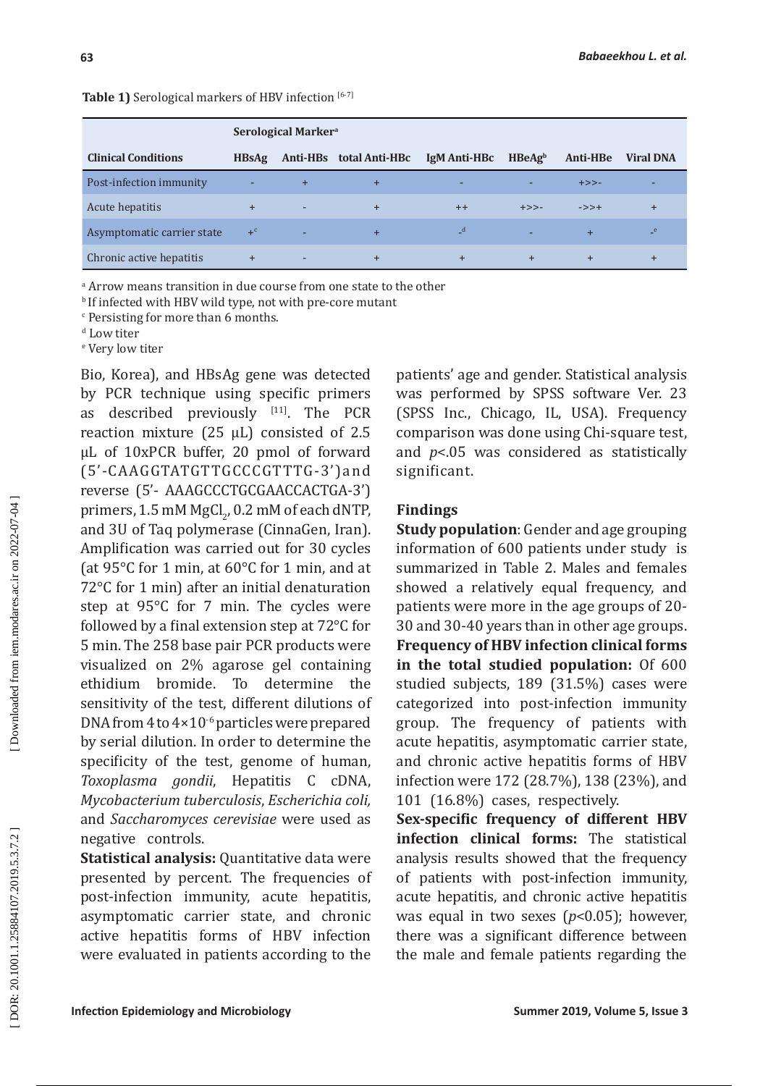# **Table 1)** Serological markers of HBV infection [6-7]

|                            |              | <b>Serological Markera</b> |                         |              |                    |           |                  |
|----------------------------|--------------|----------------------------|-------------------------|--------------|--------------------|-----------|------------------|
| <b>Clinical Conditions</b> | <b>HBsAg</b> |                            | Anti-HBs total Anti-HBc | IgM Anti-HBc | HBeAg <sup>b</sup> | Anti-HBe  | <b>Viral DNA</b> |
| Post-infection immunity    | ٠            | $+$                        | $\ddot{}$               | ٠            |                    | $+>>-$    |                  |
| Acute hepatitis            | $+$          | ٠                          | $\ddot{}$               | $++$         | $+>>-$             | $->>+$    | $+$              |
| Asymptomatic carrier state | $+^c$        | ٠                          | $+$                     | $-d$         |                    | $\ddot{}$ | e                |
| Chronic active hepatitis   | $+$          | ٠                          | $\pm$                   | $+$          | $\pm$              | $\ddot{}$ | $\pm$            |

a Arrow means transition in due course from one state to the other

**b** If infected with HBV wild type, not with pre-core mutant

c Persisting for more than 6 months.

<sup>d</sup> Low titer

e Very low titer

Bio, Korea), and HBsAg gene was detected by PCR technique using specific primers as described previously [11]. The PCR reaction mixture (25 μL) consisted of 2.5 μL of 10xPCR buffer, 20 pmol of forward (5'-CAAGGTATGTTGCCCGTTTG-3')and reverse (5'- AAAGCCCTGCGAACCACTGA-3') primers,  $1.5 \text{ mM MgCl}_2$ ,  $0.2 \text{ mM of each dNTP}$ , and 3U of Taq polymerase (CinnaGen, Iran). Amplification was carried out for 30 cycles (at 95°C for 1 min, at 60°C for 1 min, and at 72°C for 1 min) after an initial denaturation step at 95°C for 7 min. The cycles were followed by a final extension step at 72°C for 5 min. The 258 base pair PCR products were visualized on 2% agarose gel containing ethidium bromide. To determine the sensitivity of the test, different dilutions of DNA from 4 to 4×10-6 particles were prepared by serial dilution. In order to determine the specificity of the test, genome of human, *Toxoplasma gondii*, Hepatitis C cDNA, *Mycobacterium tuberculosis*, *Escherichia coli,* and *Saccharomyces cerevisiae* were used as negative controls.

**Statistical analysis:** Quantitative data were presented by percent. The frequencies of post-infection immunity, acute hepatitis, asymptomatic carrier state, and chronic active hepatitis forms of HBV infection were evaluated in patients according to the

patients' age and gender. Statistical analysis was performed by SPSS software Ver. 23 (SPSS Inc., Chicago, IL, USA). Frequency comparison was done using Chi-square test, and *p*<.05 was considered as statistically significant.

## **Findings**

**Study population**: Gender and age grouping information of 600 patients under study is summarized in Table 2. Males and females showed a relatively equal frequency, and patients were more in the age groups of 20- 30 and 30-40 years than in other age groups. **Frequency of HBV infection clinical forms in the total studied population:** Of 600 studied subjects, 189 (31.5%) cases were categorized into post-infection immunity group. The frequency of patients with acute hepatitis, asymptomatic carrier state, and chronic active hepatitis forms of HBV infection were 172 (28.7%), 138 (23%), and 101 (16.8%) cases, respectively.

**Sex-specific frequency of different HBV infection clinical forms:** The statistical analysis results showed that the frequency of patients with post-infection immunity, acute hepatitis, and chronic active hepatitis was equal in two sexes ( *p*<0.05); however, there was a significant difference between the male and female patients regarding the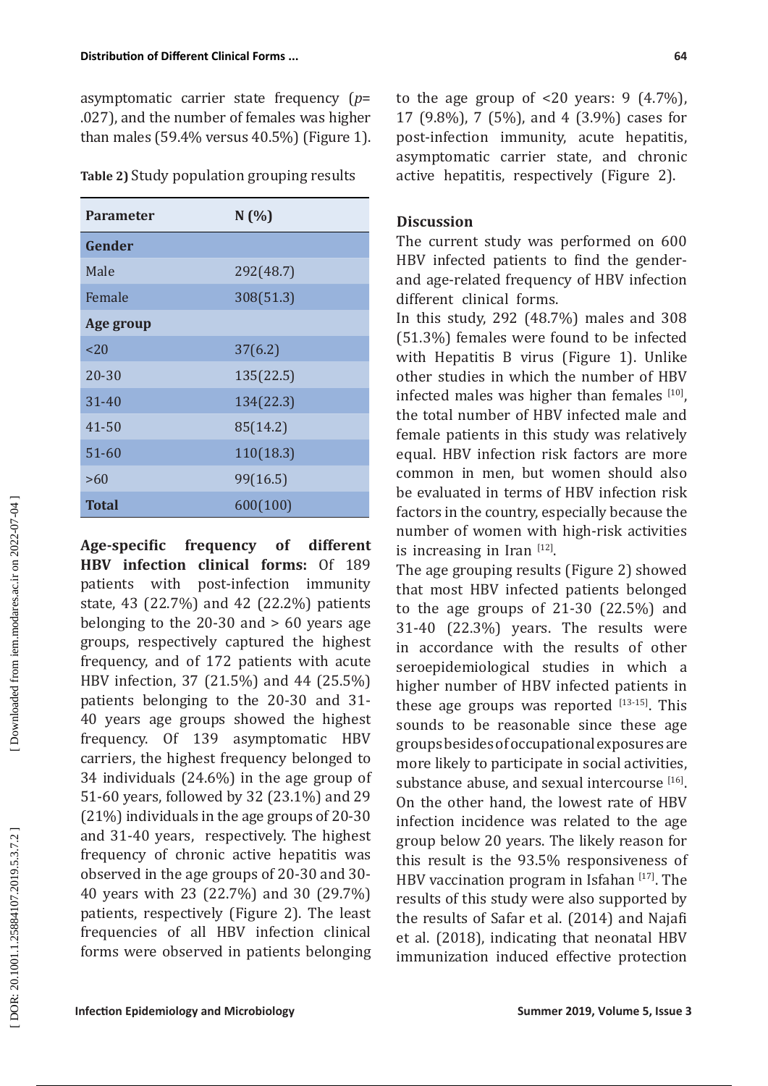asymptomatic carrier state frequency ( *p*= .027), and the number of females was higher than males (59.4% versus 40.5%) (Figure 1).

**Table 2)** Study population grouping results

| <b>Parameter</b> | N(%       |  |  |  |
|------------------|-----------|--|--|--|
| Gender           |           |  |  |  |
| Male             | 292(48.7) |  |  |  |
| Female           | 308(51.3) |  |  |  |
| Age group        |           |  |  |  |
| $<$ 20           | 37(6.2)   |  |  |  |
| $20 - 30$        | 135(22.5) |  |  |  |
| $31 - 40$        | 134(22.3) |  |  |  |
| $41 - 50$        | 85(14.2)  |  |  |  |
| $51 - 60$        | 110(18.3) |  |  |  |
| >60              | 99(16.5)  |  |  |  |
| Total            | 600(100)  |  |  |  |

**Age-specific frequency of different HBV infection clinical forms:** Of 189 patients with post-infection immunity patients with post-infection immunity state, 43 (22.7%) and 42 (22.2%) patients belonging to the 20-30 and > 60 years age groups, respectively captured the highest frequency, and of 172 patients with acute HBV infection, 37 (21.5%) and 44 (25.5%) patients belonging to the 20-30 and 31- 40 years age groups showed the highest frequency. Of 139 asymptomatic HBV carriers, the highest frequency belonged to 34 individuals (24.6%) in the age group of 51-60 years, followed by 32 (23.1%) and 29 (21%) individuals in the age groups of 20-30 and 31-40 years, respectively. The highest frequency of chronic active hepatitis was observed in the age groups of 20-30 and 30- 40 years with 23 (22.7%) and 30 (29.7%) patients, respectively (Figure 2). The least frequencies of all HBV infection clinical forms were observed in patients belonging to the age group of  $\leq 20$  years: 9  $(4.7\%)$ , 17 (9.8%), 7 (5%), and 4 (3.9%) cases for post-infection immunity, acute hepatitis, asymptomatic carrier state, and chronic active hepatitis, respectively (Figure 2).

# **Discussion**

The current study was performed on 600 HBV infected patients to find the genderand age-related frequency of HBV infection different clinical forms.

In this study, 292 (48.7%) males and 308 (51.3%) females were found to be infected with Hepatitis B virus (Figure 1). Unlike other studies in which the number of HBV infected males was higher than females  $[10]$ , the total number of HBV infected male and female patients in this study was relatively equal. HBV infection risk factors are more common in men, but women should also be evaluated in terms of HBV infection risk factors in the country, especially because the number of women with high-risk activities is increasing in Iran [12].

The age grouping results (Figure 2) showed that most HBV infected patients belonged to the age groups of 21-30 (22.5%) and 31-40 (22.3%) years. The results were in accordance with the results of other seroepidemiological studies in which a higher number of HBV infected patients in these age groups was reported  $[13-15]$ . This sounds to be reasonable since these age groups besides of occupational exposures are more likely to participate in social activities, substance abuse, and sexual intercourse  $[16]$ . On the other hand, the lowest rate of HBV infection incidence was related to the age group below 20 years. The likely reason for this result is the 93.5% responsiveness of HBV vaccination program in Isfahan  $[17]$ . The results of this study were also supported by the results of Safar et al. (2014) and Najafi et al. (2018), indicating that neonatal HBV immunization induced effective protection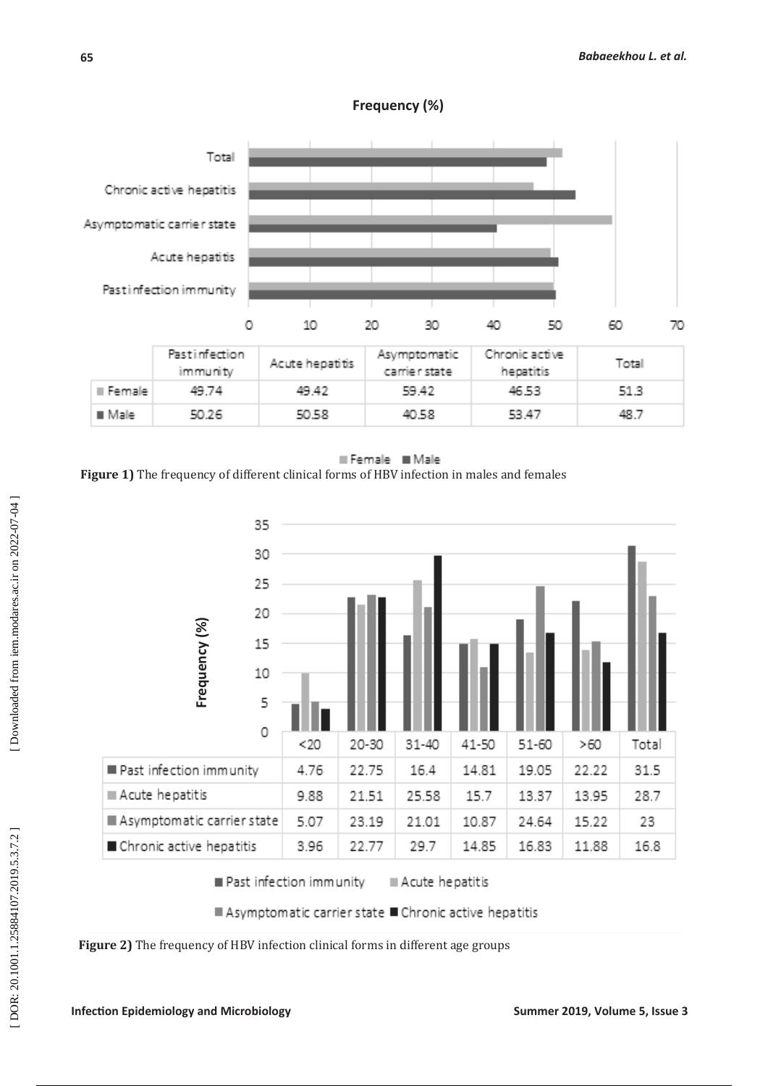



Female Male **Figure 1)** The frequency of different clinical forms of HBV infection in males and females



DOR: 20.1001.1.25884107.2019.5.3.7.2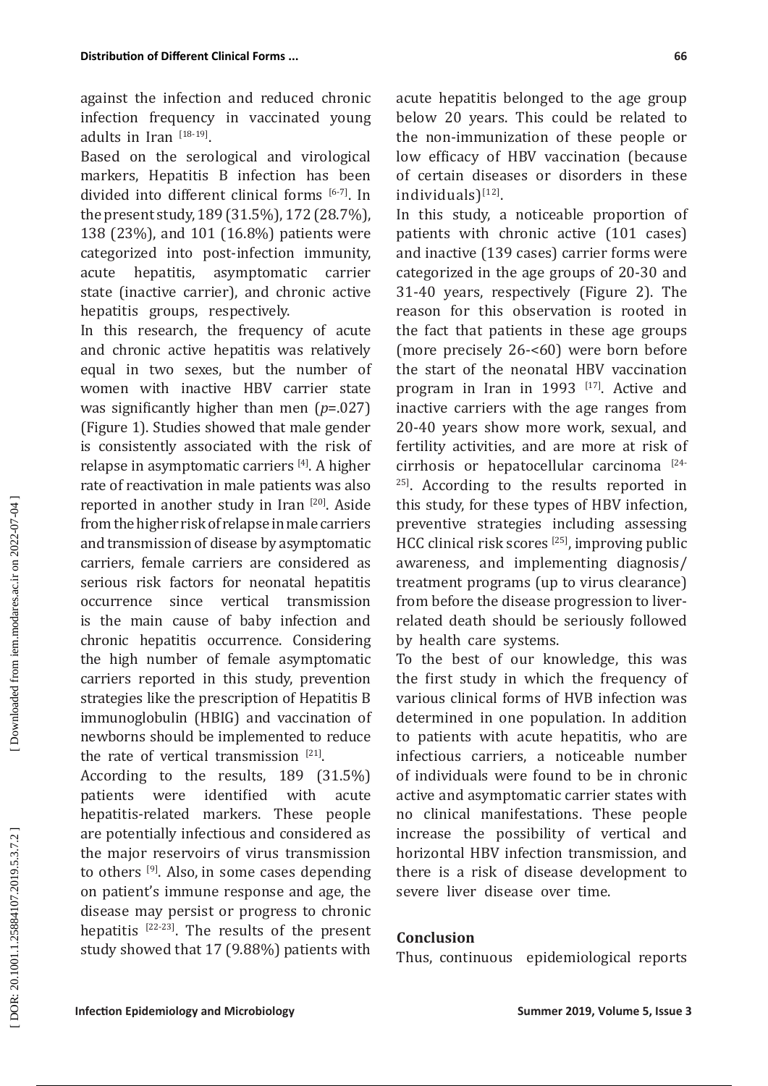against the infection and reduced chronic infection frequency in vaccinated young adults in Iran  $^{[18-19]}$ .

Based on the serological and virological markers, Hepatitis B infection has been divided into different clinical forms [6-7]. In the present study, 189 (31.5%), 172 (28.7%), 138 (23%), and 101 (16.8%) patients were categorized into post-infection immunity, acute hepatitis, asymptomatic carrier state (inactive carrier), and chronic active hepatitis groups, respectively.

In this research, the frequency of acute and chronic active hepatitis was relatively equal in two sexes, but the number of women with inactive HBV carrier state was significantly higher than men ( *p*=.027) (Figure 1). Studies showed that male gender is consistently associated with the risk of relapse in asymptomatic carriers [4]. A higher rate of reactivation in male patients was also reported in another study in Iran [20]. Aside from the higher risk of relapse in male carriers and transmission of disease by asymptomatic carriers, female carriers are considered as serious risk factors for neonatal hepatitis<br>occurrence since vertical transmission occurrence since vertical is the main cause of baby infection and chronic hepatitis occurrence. Considering the high number of female asymptomatic carriers reported in this study, prevention strategies like the prescription of Hepatitis B immunoglobulin (HBIG) and vaccination of newborns should be implemented to reduce the rate of vertical transmission  $[21]$ .

According to the results, 189 (31.5%)<br>patients were identified with acute were identified with acute hepatitis-related markers. These people are potentially infectious and considered as the major reservoirs of virus transmission to others  $[9]$ . Also, in some cases depending on patient's immune response and age, the disease may persist or progress to chronic hepatitis  $[22-23]$ . The results of the present study showed that 17 (9.88%) patients with acute hepatitis belonged to the age group below 20 years. This could be related to the non-immunization of these people or low efficacy of HBV vaccination (because of certain diseases or disorders in these  $individuals$ <sup>[12]</sup>.

In this study, a noticeable proportion of patients with chronic active (101 cases) and inactive (139 cases) carrier forms were categorized in the age groups of 20-30 and 31-40 years, respectively (Figure 2). The reason for this observation is rooted in the fact that patients in these age groups (more precisely 26-<60) were born before the start of the neonatal HBV vaccination program in Iran in 1993 [17]. Active and inactive carriers with the age ranges from 20-40 years show more work, sexual, and fertility activities, and are more at risk of cirrhosis or hepatocellular carcinoma [24- <sup>25]</sup>. According to the results reported in this study, for these types of HBV infection, preventive strategies including assessing HCC clinical risk scores [25], improving public awareness, and implementing diagnosis/ treatment programs (up to virus clearance) from before the disease progression to liverrelated death should be seriously followed by health care systems.

To the best of our knowledge, this was the first study in which the frequency of various clinical forms of HVB infection was determined in one population. In addition to patients with acute hepatitis, who are infectious carriers, a noticeable number of individuals were found to be in chronic active and asymptomatic carrier states with no clinical manifestations. These people increase the possibility of vertical and horizontal HBV infection transmission, and there is a risk of disease development to severe liver disease over time.

# **Conclusion**

Thus, continuous epidemiological reports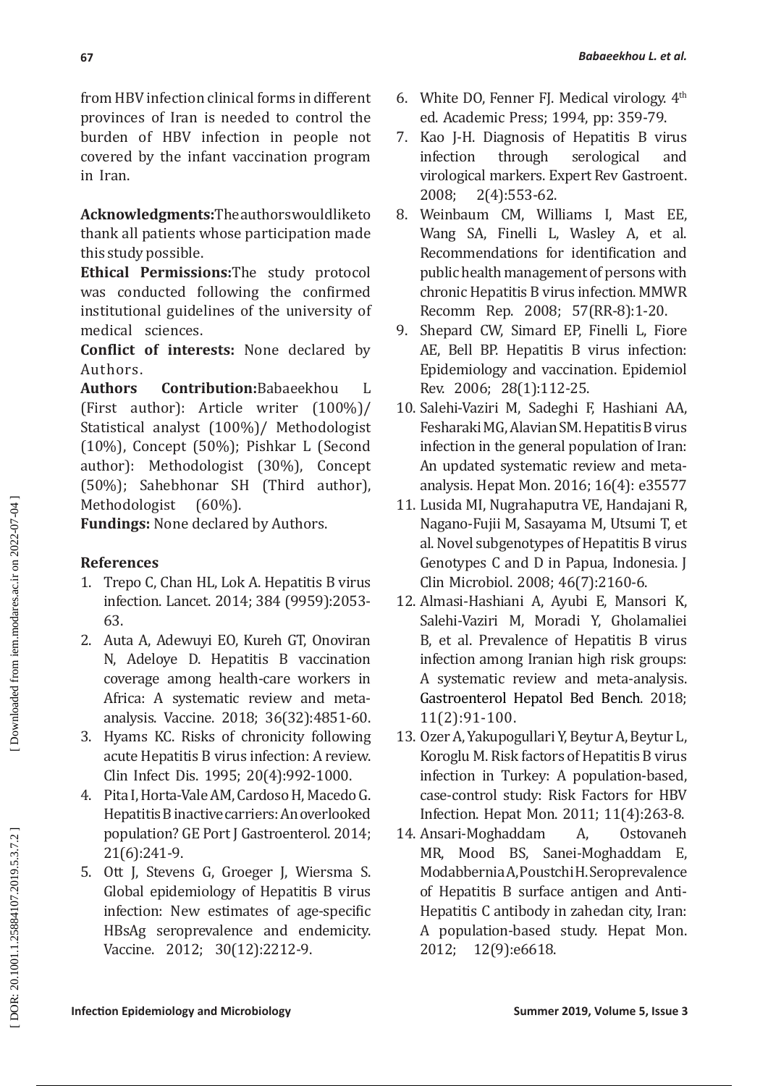from HBV infection clinical forms in different provinces of Iran is needed to control the burden of HBV infection in people not covered by the infant vaccination program in Iran.

**Acknowledgments:**The authors would like to thank all patients whose participation made this study possible.

**Ethical Permissions:**The study protocol was conducted following the confirmed institutional guidelines of the university of medical sciences.

**Conflict of interests:** None declared by Authors.<br>**Authors** 

**Contribution:**Babaeekhou L (First author): Article writer (100%)/ Statistical analyst (100%)/ Methodologist (10%), Concept (50%); Pishkar L (Second author): Methodologist (30%), Concept (50%); Sahebhonar SH (Third author), Methodologist

**Fundings:** None declared by Authors.

# **References**

- 1. Trepo C, Chan HL, Lok A. Hepatitis B virus infection. Lancet. 2014; 384 (9959):2053- 63.
- 2. Auta A, Adewuyi EO, Kureh GT, Onoviran N, Adeloye D. Hepatitis B vaccination coverage among health-care workers in Africa: A systematic review and metaanalysis. Vaccine. 2018; 36(32):4851-60.
- 3. Hyams KC. Risks of chronicity following acute Hepatitis B virus infection: A review. Clin Infect Dis. 1995; 20(4):992-1000.
- 4. Pita I, Horta-Vale AM, Cardoso H, Macedo G. Hepatitis B inactive carriers: An overlooked population? GE Port J Gastroenterol. 2014; 21(6):241-9.
- 5. Ott J, Stevens G, Groeger J, Wiersma S. Global epidemiology of Hepatitis B virus infection: New estimates of age-specific HBsAg seroprevalence and endemicity. Vaccine. 2012; 30(12):2212-9.
- 6. White DO, Fenner FJ. Medical virology.  $4<sup>th</sup>$ ed. Academic Press; 1994, pp: 359-79.
- 7. Kao J-H. Diagnosis of Hepatitis B virus infection through serological and virological markers. Expert Rev Gastroent.<br>2008: 2(4):553-62.  $2(4):553-62.$
- 8. Weinbaum CM, Williams I, Mast EE, Wang SA, Finelli L, Wasley A, et al. Recommendations for identification and public health management of persons with chronic Hepatitis B virus infection. MMWR Recomm Rep. 2008; 57(RR-8):1-20.
- 9. Shepard CW, Simard EP, Finelli L, Fiore AE, Bell BP. Hepatitis B virus infection: Epidemiology and vaccination. Epidemiol Rev. 2006; 28(1):112-25.
- 10. Salehi-Vaziri M, Sadeghi F, Hashiani AA, Fesharaki MG, Alavian SM. Hepatitis B virus infection in the general population of Iran: An updated systematic review and metaanalysis. Hepat Mon. 2016; 16(4): e35577
- 11. Lusida MI, Nugrahaputra VE, Handajani R, Nagano-Fujii M, Sasayama M, Utsumi T, et al. Novel subgenotypes of Hepatitis B virus Genotypes C and D in Papua, Indonesia. J Clin Microbiol. 2008; 46(7):2160-6.
- 12. Almasi-Hashiani A, Ayubi E, Mansori K, Salehi-Vaziri M, Moradi Y, Gholamaliei B, et al. Prevalence of Hepatitis B virus infection among Iranian high risk groups: A systematic review and meta-analysis. [Gastroenterol Hepatol Bed Bench.](https://www.ncbi.nlm.nih.gov/pmc/articles/PMC5990920/) 2018; 11(2):91-100.
- 13. Ozer A, Yakupogullari Y, Beytur A, Beytur L, Koroglu M. Risk factors of Hepatitis B virus infection in Turkey: A population-based, case-control study: Risk Factors for HBV Infection. Hepat Mon. 2011; 11(4):263-8.
- 14. Ansari-Moghaddam A, Ostovaneh MR, Mood BS, Sanei-Moghaddam E, Modabbernia A, Poustchi H. Seroprevalence of Hepatitis B surface antigen and Anti-Hepatitis C antibody in zahedan city, Iran: A population-based study. Hepat Mon. 2012; 12(9):e6618.

DOR: 20.1001.1.25884107.2019.5.3.7.2